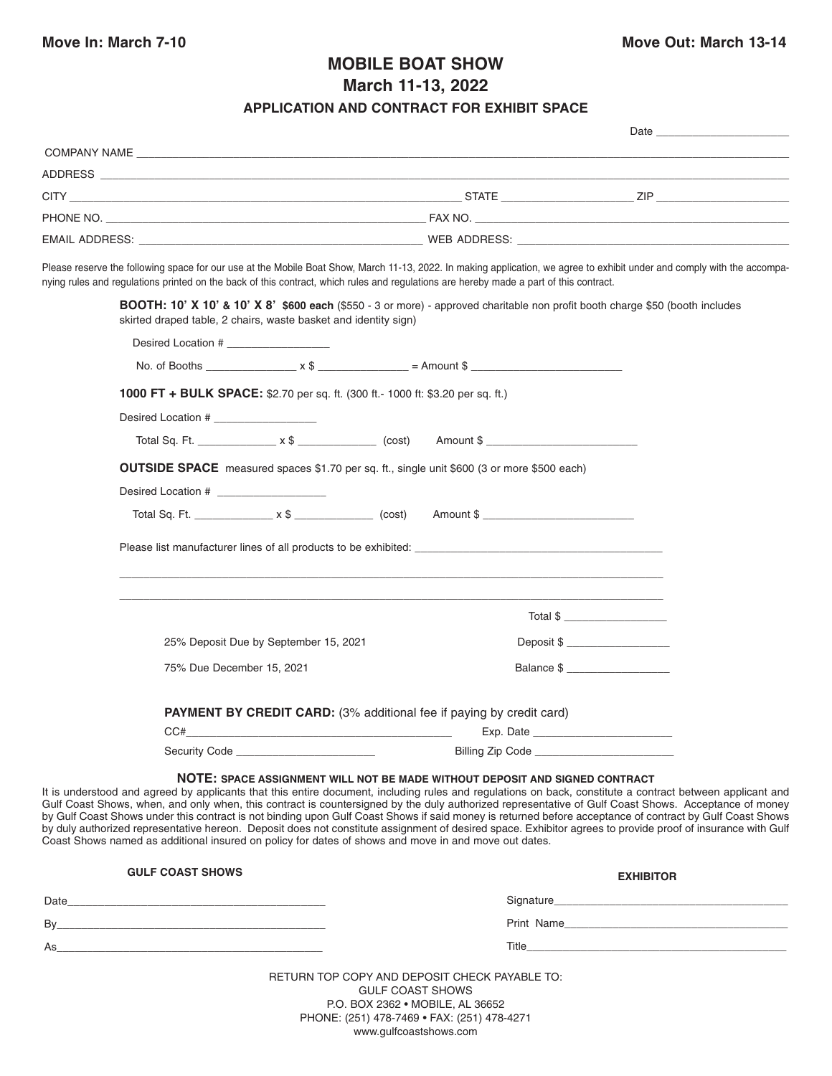## **MOBILE BOAT SHOW March 11-13, 2022**

## **APPLICATION AND CONTRACT FOR EXHIBIT SPACE**

| COMPANY NAME THE RESERVE TO A RESERVE THE RESERVE TO A RESERVE THE RESERVE TO A RESERVE THE RESERVE TO A RESERVE THE RESERVE TO A RESERVE THE RESERVE TO A RESERVE THE RESERVE THAT A RESERVE THAT A RESERVE THAT A RESERVE TH                                                                                                                                                                                                                                                                                                                                                                                                                                                                                                                                                                                                      |                                 |                                                                                           |
|-------------------------------------------------------------------------------------------------------------------------------------------------------------------------------------------------------------------------------------------------------------------------------------------------------------------------------------------------------------------------------------------------------------------------------------------------------------------------------------------------------------------------------------------------------------------------------------------------------------------------------------------------------------------------------------------------------------------------------------------------------------------------------------------------------------------------------------|---------------------------------|-------------------------------------------------------------------------------------------|
|                                                                                                                                                                                                                                                                                                                                                                                                                                                                                                                                                                                                                                                                                                                                                                                                                                     |                                 |                                                                                           |
|                                                                                                                                                                                                                                                                                                                                                                                                                                                                                                                                                                                                                                                                                                                                                                                                                                     |                                 |                                                                                           |
|                                                                                                                                                                                                                                                                                                                                                                                                                                                                                                                                                                                                                                                                                                                                                                                                                                     |                                 |                                                                                           |
|                                                                                                                                                                                                                                                                                                                                                                                                                                                                                                                                                                                                                                                                                                                                                                                                                                     |                                 |                                                                                           |
| Please reserve the following space for our use at the Mobile Boat Show, March 11-13, 2022. In making application, we agree to exhibit under and comply with the accompa-<br>nying rules and regulations printed on the back of this contract, which rules and regulations are hereby made a part of this contract.                                                                                                                                                                                                                                                                                                                                                                                                                                                                                                                  |                                 |                                                                                           |
| BOOTH: 10' X 10' & 10' X 8' \$600 each (\$550 - 3 or more) - approved charitable non profit booth charge \$50 (booth includes<br>skirted draped table, 2 chairs, waste basket and identity sign)                                                                                                                                                                                                                                                                                                                                                                                                                                                                                                                                                                                                                                    |                                 |                                                                                           |
| Desired Location #                                                                                                                                                                                                                                                                                                                                                                                                                                                                                                                                                                                                                                                                                                                                                                                                                  |                                 |                                                                                           |
|                                                                                                                                                                                                                                                                                                                                                                                                                                                                                                                                                                                                                                                                                                                                                                                                                                     |                                 |                                                                                           |
| 1000 FT + BULK SPACE: \$2.70 per sq. ft. (300 ft.- 1000 ft: \$3.20 per sq. ft.)                                                                                                                                                                                                                                                                                                                                                                                                                                                                                                                                                                                                                                                                                                                                                     |                                 |                                                                                           |
| Desired Location #                                                                                                                                                                                                                                                                                                                                                                                                                                                                                                                                                                                                                                                                                                                                                                                                                  |                                 |                                                                                           |
|                                                                                                                                                                                                                                                                                                                                                                                                                                                                                                                                                                                                                                                                                                                                                                                                                                     |                                 |                                                                                           |
| <b>OUTSIDE SPACE</b> measured spaces \$1.70 per sq. ft., single unit \$600 (3 or more \$500 each)                                                                                                                                                                                                                                                                                                                                                                                                                                                                                                                                                                                                                                                                                                                                   |                                 |                                                                                           |
| Desired Location # _____________________                                                                                                                                                                                                                                                                                                                                                                                                                                                                                                                                                                                                                                                                                                                                                                                            |                                 |                                                                                           |
| Total Sq. Ft. _________________ x \$ _______________ (cost) Amount \$ ________________________________                                                                                                                                                                                                                                                                                                                                                                                                                                                                                                                                                                                                                                                                                                                              |                                 |                                                                                           |
|                                                                                                                                                                                                                                                                                                                                                                                                                                                                                                                                                                                                                                                                                                                                                                                                                                     |                                 |                                                                                           |
|                                                                                                                                                                                                                                                                                                                                                                                                                                                                                                                                                                                                                                                                                                                                                                                                                                     |                                 |                                                                                           |
|                                                                                                                                                                                                                                                                                                                                                                                                                                                                                                                                                                                                                                                                                                                                                                                                                                     |                                 |                                                                                           |
|                                                                                                                                                                                                                                                                                                                                                                                                                                                                                                                                                                                                                                                                                                                                                                                                                                     |                                 |                                                                                           |
|                                                                                                                                                                                                                                                                                                                                                                                                                                                                                                                                                                                                                                                                                                                                                                                                                                     | Total \$                        |                                                                                           |
| 25% Deposit Due by September 15, 2021                                                                                                                                                                                                                                                                                                                                                                                                                                                                                                                                                                                                                                                                                                                                                                                               | Deposit \$ ____________________ |                                                                                           |
| 75% Due December 15, 2021                                                                                                                                                                                                                                                                                                                                                                                                                                                                                                                                                                                                                                                                                                                                                                                                           |                                 |                                                                                           |
|                                                                                                                                                                                                                                                                                                                                                                                                                                                                                                                                                                                                                                                                                                                                                                                                                                     |                                 |                                                                                           |
| <b>PAYMENT BY CREDIT CARD:</b> (3% additional fee if paying by credit card)                                                                                                                                                                                                                                                                                                                                                                                                                                                                                                                                                                                                                                                                                                                                                         |                                 |                                                                                           |
| CC#<br>the control of the control of the control of the control of the control of the control of                                                                                                                                                                                                                                                                                                                                                                                                                                                                                                                                                                                                                                                                                                                                    | Exp. Date                       |                                                                                           |
| Security Code <u>_________________________</u>                                                                                                                                                                                                                                                                                                                                                                                                                                                                                                                                                                                                                                                                                                                                                                                      | Billing Zip Code                |                                                                                           |
| NOTE: SPACE ASSIGNMENT WILL NOT BE MADE WITHOUT DEPOSIT AND SIGNED CONTRACT<br>It is understood and agreed by applicants that this entire document, including rules and regulations on back, constitute a contract between applicant and<br>Gulf Coast Shows, when, and only when, this contract is countersigned by the duly authorized representative of Gulf Coast Shows. Acceptance of money<br>by Gulf Coast Shows under this contract is not binding upon Gulf Coast Shows if said money is returned before acceptance of contract by Gulf Coast Shows<br>by duly authorized representative hereon. Deposit does not constitute assignment of desired space. Exhibitor agrees to provide proof of insurance with Gulf<br>Coast Shows named as additional insured on policy for dates of shows and move in and move out dates. |                                 |                                                                                           |
| <b>GULF COAST SHOWS</b>                                                                                                                                                                                                                                                                                                                                                                                                                                                                                                                                                                                                                                                                                                                                                                                                             |                                 | <b>EXHIBITOR</b>                                                                          |
|                                                                                                                                                                                                                                                                                                                                                                                                                                                                                                                                                                                                                                                                                                                                                                                                                                     |                                 |                                                                                           |
|                                                                                                                                                                                                                                                                                                                                                                                                                                                                                                                                                                                                                                                                                                                                                                                                                                     |                                 | Print Name                                                                                |
| As a structure of the state of the state of the state of the state of the state of the state of the                                                                                                                                                                                                                                                                                                                                                                                                                                                                                                                                                                                                                                                                                                                                 | Title___                        | the control of the control of the control of the control of the control of the control of |

RETURN TOP COPY AND DEPOSIT CHECK PAYABLE TO: GULF COAST SHOWS P.O. BOX 2362 • MOBILE, AL 36652 PHONE: (251) 478-7469 • FAX: (251) 478-4271 www.gulfcoastshows.com